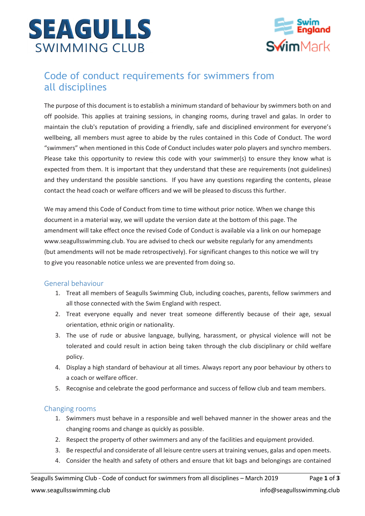



# Code of conduct requirements for swimmers from all disciplines

The purpose of this document is to establish a minimum standard of behaviour by swimmers both on and off poolside. This applies at training sessions, in changing rooms, during travel and galas. In order to maintain the club's reputation of providing a friendly, safe and disciplined environment for everyone's wellbeing, all members must agree to abide by the rules contained in this Code of Conduct. The word "swimmers" when mentioned in this Code of Conduct includes water polo players and synchro members. Please take this opportunity to review this code with your swimmer(s) to ensure they know what is expected from them. It is important that they understand that these are requirements (not guidelines) and they understand the possible sanctions. If you have any questions regarding the contents, please contact the head coach or welfare officers and we will be pleased to discuss this further.

We may amend this Code of Conduct from time to time without prior notice. When we change this document in a material way, we will update the version date at the bottom of this page. The amendment will take effect once the revised Code of Conduct is available via a link on our homepage www.seagullsswimming.club. You are advised to check our website regularly for any amendments (but amendments will not be made retrospectively). For significant changes to this notice we will try to give you reasonable notice unless we are prevented from doing so.

#### General behaviour

- 1. Treat all members of Seagulls Swimming Club, including coaches, parents, fellow swimmers and all those connected with the Swim England with respect.
- 2. Treat everyone equally and never treat someone differently because of their age, sexual orientation, ethnic origin or nationality.
- 3. The use of rude or abusive language, bullying, harassment, or physical violence will not be tolerated and could result in action being taken through the club disciplinary or child welfare policy.
- 4. Display a high standard of behaviour at all times. Always report any poor behaviour by others to a coach or welfare officer.
- 5. Recognise and celebrate the good performance and success of fellow club and team members.

### Changing rooms

- 1. Swimmers must behave in a responsible and well behaved manner in the shower areas and the changing rooms and change as quickly as possible.
- 2. Respect the property of other swimmers and any of the facilities and equipment provided.
- 3. Be respectful and considerate of all leisure centre users at training venues, galas and open meets.
- 4. Consider the health and safety of others and ensure that kit bags and belongings are contained

Seagulls Swimming Club - Code of conduct for swimmers from all disciplines – March 2019 Page **1** of **3** www.seagullsswimming.club info@seagullsswimming.club info@seagullsswimming.club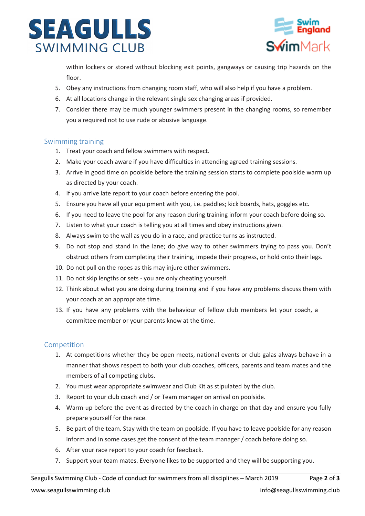



within lockers or stored without blocking exit points, gangways or causing trip hazards on the floor.

- 5. Obey any instructions from changing room staff, who will also help if you have a problem.
- 6. At all locations change in the relevant single sex changing areas if provided.
- 7. Consider there may be much younger swimmers present in the changing rooms, so remember you a required not to use rude or abusive language.

### Swimming training

- 1. Treat your coach and fellow swimmers with respect.
- 2. Make your coach aware if you have difficulties in attending agreed training sessions.
- 3. Arrive in good time on poolside before the training session starts to complete poolside warm up as directed by your coach.
- 4. If you arrive late report to your coach before entering the pool.
- 5. Ensure you have all your equipment with you, i.e. paddles; kick boards, hats, goggles etc.
- 6. If you need to leave the pool for any reason during training inform your coach before doing so.
- 7. Listen to what your coach is telling you at all times and obey instructions given.
- 8. Always swim to the wall as you do in a race, and practice turns as instructed.
- 9. Do not stop and stand in the lane; do give way to other swimmers trying to pass you. Don't obstruct others from completing their training, impede their progress, or hold onto their legs.
- 10. Do not pull on the ropes as this may injure other swimmers.
- 11. Do not skip lengths or sets you are only cheating yourself.
- 12. Think about what you are doing during training and if you have any problems discuss them with your coach at an appropriate time.
- 13. If you have any problems with the behaviour of fellow club members let your coach, a committee member or your parents know at the time.

### Competition

- 1. At competitions whether they be open meets, national events or club galas always behave in a manner that shows respect to both your club coaches, officers, parents and team mates and the members of all competing clubs.
- 2. You must wear appropriate swimwear and Club Kit as stipulated by the club.
- 3. Report to your club coach and / or Team manager on arrival on poolside.
- 4. Warm-up before the event as directed by the coach in charge on that day and ensure you fully prepare yourself for the race.
- 5. Be part of the team. Stay with the team on poolside. If you have to leave poolside for any reason inform and in some cases get the consent of the team manager / coach before doing so.
- 6. After your race report to your coach for feedback.
- 7. Support your team mates. Everyone likes to be supported and they will be supporting you.